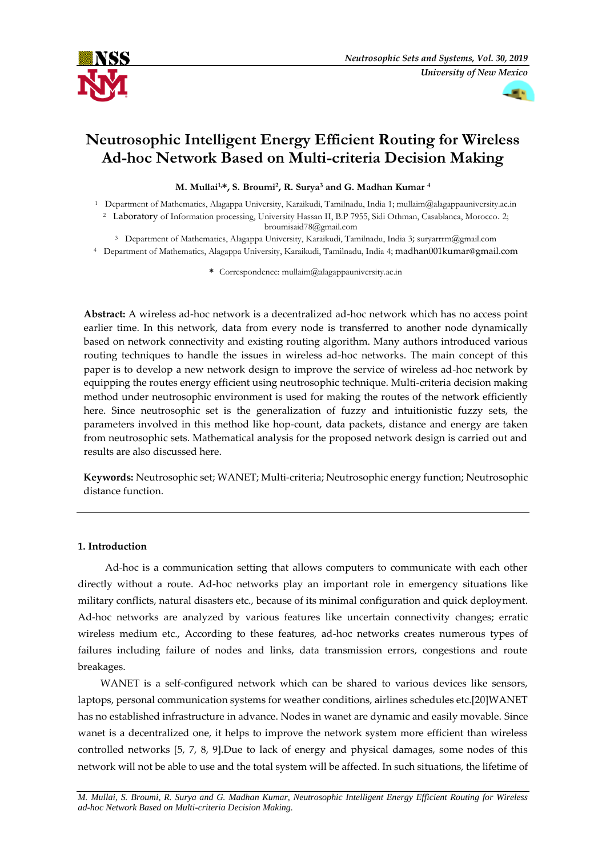



# **Neutrosophic Intelligent Energy Efficient Routing for Wireless Ad-hoc Network Based on Multi-criteria Decision Making**

**M. Mullai1,\*, S. Broumi<sup>2</sup> , R. Surya<sup>3</sup> and G. Madhan Kumar <sup>4</sup>**

- <sup>1</sup> Department of Mathematics, Alagappa University, Karaikudi, Tamilnadu, India 1; mullaim@alagappauniversity.ac.in <sup>2</sup> Laboratory of Information processing, University Hassan II, B.P 7955, Sidi Othman, Casablanca, Morocco. 2; broumisaid78@gmail.com
	- <sup>3</sup> Department of Mathematics, Alagappa University, Karaikudi, Tamilnadu, India 3; suryarrrm@gmail.com
- <sup>4</sup> Department of Mathematics, Alagappa University, Karaikudi, Tamilnadu, India 4; madhan001kumar@gmail.com
	- **\*** Correspondence: mullaim@alagappauniversity.ac.in

**Abstract:** A wireless ad-hoc network is a decentralized ad-hoc network which has no access point earlier time. In this network, data from every node is transferred to another node dynamically based on network connectivity and existing routing algorithm. Many authors introduced various routing techniques to handle the issues in wireless ad-hoc networks. The main concept of this paper is to develop a new network design to improve the service of wireless ad-hoc network by equipping the routes energy efficient using neutrosophic technique. Multi-criteria decision making method under neutrosophic environment is used for making the routes of the network efficiently here. Since neutrosophic set is the generalization of fuzzy and intuitionistic fuzzy sets, the parameters involved in this method like hop-count, data packets, distance and energy are taken from neutrosophic sets. Mathematical analysis for the proposed network design is carried out and results are also discussed here.

**Keywords:** Neutrosophic set; WANET; Multi-criteria; Neutrosophic energy function; Neutrosophic distance function.

# **1. Introduction**

 Ad-hoc is a communication setting that allows computers to communicate with each other directly without a route. Ad-hoc networks play an important role in emergency situations like military conflicts, natural disasters etc., because of its minimal configuration and quick deployment. Ad-hoc networks are analyzed by various features like uncertain connectivity changes; erratic wireless medium etc., According to these features, ad-hoc networks creates numerous types of failures including failure of nodes and links, data transmission errors, congestions and route breakages.

 WANET is a self-configured network which can be shared to various devices like sensors, laptops, personal communication systems for weather conditions, airlines schedules etc.[20]WANET has no established infrastructure in advance. Nodes in wanet are dynamic and easily movable. Since wanet is a decentralized one, it helps to improve the network system more efficient than wireless controlled networks [5, 7, 8, 9].Due to lack of energy and physical damages, some nodes of this network will not be able to use and the total system will be affected. In such situations, the lifetime of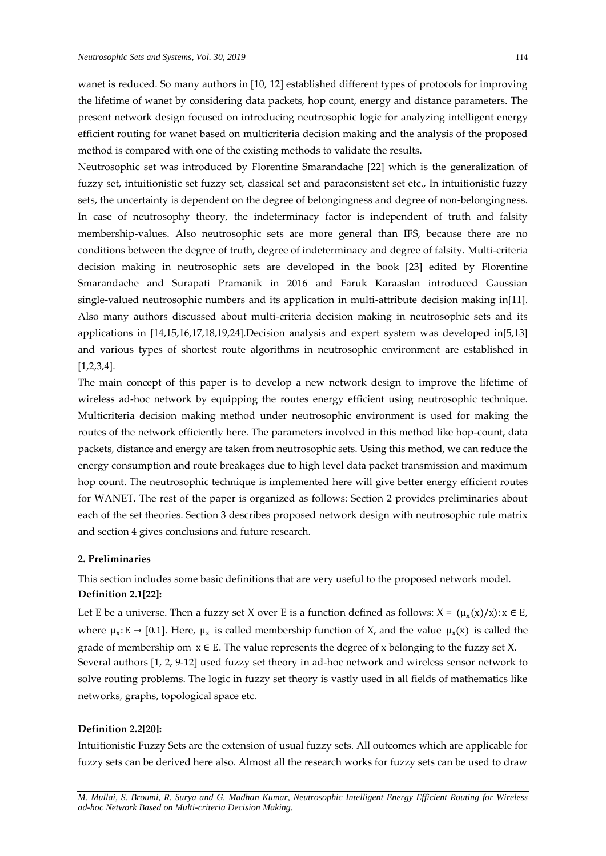wanet is reduced. So many authors in [10, 12] established different types of protocols for improving the lifetime of wanet by considering data packets, hop count, energy and distance parameters. The present network design focused on introducing neutrosophic logic for analyzing intelligent energy efficient routing for wanet based on multicriteria decision making and the analysis of the proposed method is compared with one of the existing methods to validate the results.

Neutrosophic set was introduced by Florentine Smarandache [22] which is the generalization of fuzzy set, intuitionistic set fuzzy set, classical set and paraconsistent set etc., In intuitionistic fuzzy sets, the uncertainty is dependent on the degree of belongingness and degree of non-belongingness. In case of neutrosophy theory, the indeterminacy factor is independent of truth and falsity membership-values. Also neutrosophic sets are more general than IFS, because there are no conditions between the degree of truth, degree of indeterminacy and degree of falsity. Multi-criteria decision making in neutrosophic sets are developed in the book [23] edited by Florentine Smarandache and Surapati Pramanik in 2016 and Faruk Karaaslan introduced Gaussian single-valued neutrosophic numbers and its application in multi-attribute decision making in[11]. Also many authors discussed about multi-criteria decision making in neutrosophic sets and its applications in [14,15,16,17,18,19,24].Decision analysis and expert system was developed in[5,13] and various types of shortest route algorithms in neutrosophic environment are established in [1,2,3,4].

The main concept of this paper is to develop a new network design to improve the lifetime of wireless ad-hoc network by equipping the routes energy efficient using neutrosophic technique. Multicriteria decision making method under neutrosophic environment is used for making the routes of the network efficiently here. The parameters involved in this method like hop-count, data packets, distance and energy are taken from neutrosophic sets. Using this method, we can reduce the energy consumption and route breakages due to high level data packet transmission and maximum hop count. The neutrosophic technique is implemented here will give better energy efficient routes for WANET. The rest of the paper is organized as follows: Section 2 provides preliminaries about each of the set theories. Section 3 describes proposed network design with neutrosophic rule matrix and section 4 gives conclusions and future research.

# **2. Preliminaries**

This section includes some basic definitions that are very useful to the proposed network model. **Definition 2.1[22]:**

Let E be a universe. Then a fuzzy set X over E is a function defined as follows:  $X = (\mu_x(x)/x)$ :  $x \in E$ , where  $\mu_x$ : E  $\rightarrow$  [0.1]. Here,  $\mu_x$  is called membership function of X, and the value  $\mu_x(x)$  is called the grade of membership om  $x \in E$ . The value represents the degree of x belonging to the fuzzy set X. Several authors [1, 2, 9-12] used fuzzy set theory in ad-hoc network and wireless sensor network to solve routing problems. The logic in fuzzy set theory is vastly used in all fields of mathematics like networks, graphs, topological space etc.

## **Definition 2.2[20]:**

Intuitionistic Fuzzy Sets are the extension of usual fuzzy sets. All outcomes which are applicable for fuzzy sets can be derived here also. Almost all the research works for fuzzy sets can be used to draw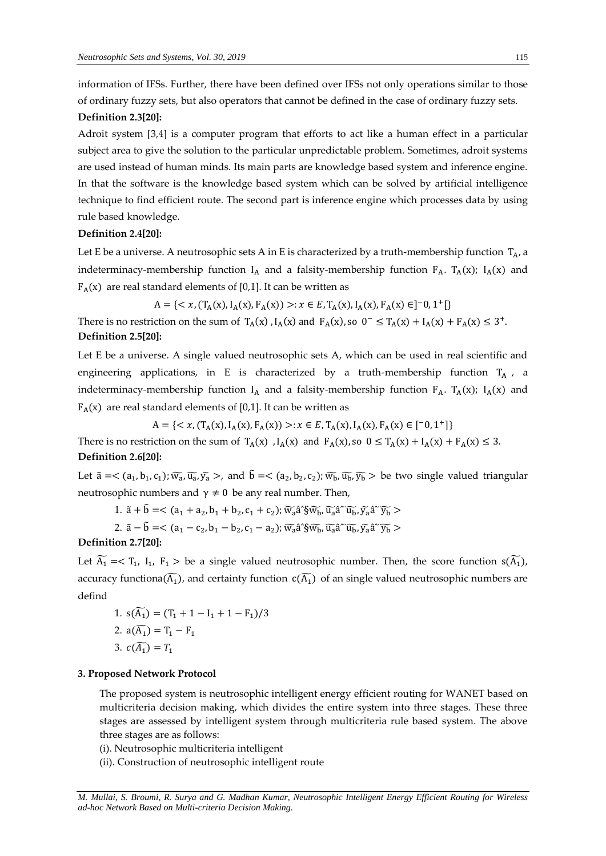information of IFSs. Further, there have been defined over IFSs not only operations similar to those of ordinary fuzzy sets, but also operators that cannot be defined in the case of ordinary fuzzy sets. **Definition 2.3[20]:**

Adroit system [3,4] is a computer program that efforts to act like a human effect in a particular subject area to give the solution to the particular unpredictable problem. Sometimes, adroit systems are used instead of human minds. Its main parts are knowledge based system and inference engine. In that the software is the knowledge based system which can be solved by artificial intelligence technique to find efficient route. The second part is inference engine which processes data by using rule based knowledge.

## **Definition 2.4[20]:**

Let E be a universe. A neutrosophic sets A in E is characterized by a truth-membership function  $T_A$ , a indeterminacy-membership function  $I_A$  and a falsity-membership function  $F_A$ . T<sub>A</sub>(x);  $I_A(x)$  and  $F_A(x)$  are real standard elements of [0,1]. It can be written as

$$
A = \{ \langle x, (T_A(x), I_A(x), F_A(x)) \rangle : x \in E, T_A(x), I_A(x), F_A(x) \in ]-0, 1^+[\}
$$

There is no restriction on the sum of  $T_A(x)$ ,  $I_A(x)$  and  $F_A(x)$ , so  $0^- \le T_A(x) + I_A(x) + F_A(x) \le 3^+$ . **Definition 2.5[20]:**

Let E be a universe. A single valued neutrosophic sets A, which can be used in real scientific and engineering applications, in E is characterized by a truth-membership function  $T_A$ , a indeterminacy-membership function  $I_A$  and a falsity-membership function  $F_A$ . T<sub>A</sub>(x); I<sub>A</sub>(x) and  $F_A(x)$  are real standard elements of [0,1]. It can be written as

 $A = \{ \langle x, (T_A(x), I_A(x), F_A(x)) \rangle : x \in E, T_A(x), I_A(x), F_A(x) \in [-0, 1^+] \}$ 

There is no restriction on the sum of  $T_A(x)$ ,  $I_A(x)$  and  $F_A(x)$ , so  $0 \le T_A(x) + I_A(x) + F_A(x) \le 3$ . **Definition 2.6[20]:**

Let  $\tilde{a} = <(a_1, b_1, c_1)$ ;  $\widetilde{w_a}$ ,  $\widetilde{u_a}$ ,  $\widetilde{y_a} >$ , and  $\tilde{b} = <(a_2, b_2, c_2)$ ;  $\widetilde{w_b}$ ,  $\widetilde{u_b}$ ,  $\widetilde{y_b} >$  be two single valued triangular neutrosophic numbers and  $γ ≠ 0$  be any real number. Then,

1.  $\tilde{a} + \tilde{b} = \langle (a_1 + a_2, b_1 + b_2, c_1 + c_2) ; \widetilde{w_a} \hat{a}^{\dagger} \widetilde{w_b}, \widetilde{u_a} \hat{a}^{\dagger} \widetilde{u_b}, \widetilde{y_a} \hat{a}^{\dagger} \widetilde{y_b} \rangle$ 

2. 
$$
\tilde{a} - \tilde{b} = \langle (a_1 - c_2, b_1 - b_2, c_1 - a_2); \widetilde{w_a} \hat{a}^{\prime\prime} \widetilde{b}_b, \widetilde{u_a} \hat{a}^{\prime\prime\prime} \widetilde{u_b}, \widetilde{y_a} \hat{a}^{\prime\prime\prime} \widetilde{y_b} \rangle
$$

# **Definition 2.7[20]:**

Let  $\widetilde{A_1}$  =<  $T_1$ ,  $I_1$ ,  $F_1$  > be a single valued neutrosophic number. Then, the score function  $s(\widetilde{A_1})$ , accuracy functiona( $\widetilde{A_1}$ ), and certainty function  $c(\widetilde{A_1})$  of an single valued neutrosophic numbers are defind

1. 
$$
s(\widetilde{A}_1) = (T_1 + 1 - I_1 + 1 - F_1)/3
$$
  
\n2.  $a(\widetilde{A}_1) = T_1 - F_1$   
\n3.  $c(\widetilde{A}_1) = T_1$ 

#### **3. Proposed Network Protocol**

The proposed system is neutrosophic intelligent energy efficient routing for WANET based on multicriteria decision making, which divides the entire system into three stages. These three stages are assessed by intelligent system through multicriteria rule based system. The above three stages are as follows:

(i). Neutrosophic multicriteria intelligent

(ii). Construction of neutrosophic intelligent route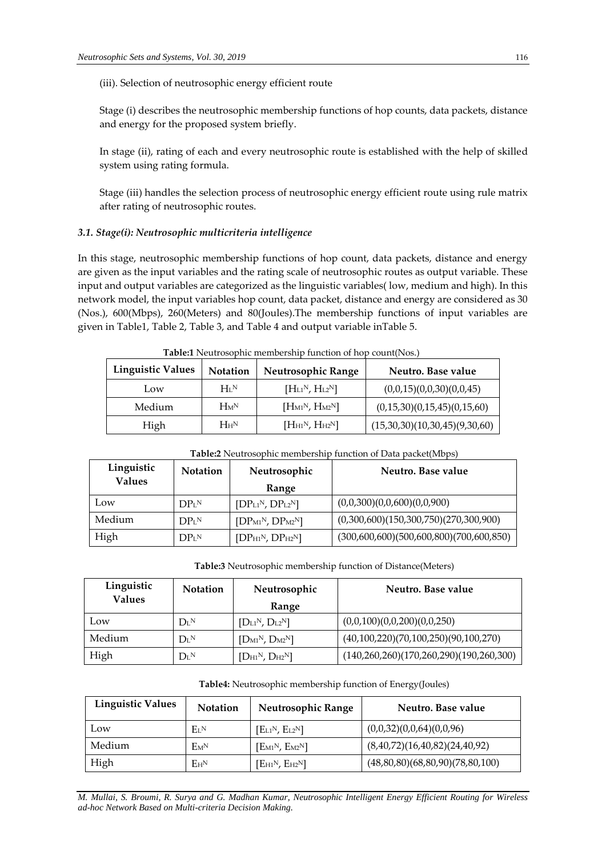(iii). Selection of neutrosophic energy efficient route

Stage (i) describes the neutrosophic membership functions of hop counts, data packets, distance and energy for the proposed system briefly.

In stage (ii), rating of each and every neutrosophic route is established with the help of skilled system using rating formula.

Stage (iii) handles the selection process of neutrosophic energy efficient route using rule matrix after rating of neutrosophic routes.

# *3.1. Stage(i): Neutrosophic multicriteria intelligence*

In this stage, neutrosophic membership functions of hop count, data packets, distance and energy are given as the input variables and the rating scale of neutrosophic routes as output variable. These input and output variables are categorized as the linguistic variables( low, medium and high). In this network model, the input variables hop count, data packet, distance and energy are considered as 30 (Nos.), 600(Mbps), 260(Meters) and 80(Joules).The membership functions of input variables are given in Table1, Table 2, Table 3, and Table 4 and output variable inTable 5.

| <b>Linguistic Values</b> | <b>Notation</b>    | <b>Neutrosophic Range</b>            | Neutro. Base value            |
|--------------------------|--------------------|--------------------------------------|-------------------------------|
| Low                      | $H_I N$            | $[H_{L1}N, H_{L2}N]$                 | (0,0,15)(0,0,30)(0,0,45)      |
| Medium                   | $H_M$ <sup>N</sup> | $[\text{H}_{M1}^N, \text{H}_{M2}^N]$ | (0,15,30)(0,15,45)(0,15,60)   |
| High                     | H <sub>H</sub> N   | $[\text{H}_{H1}N, \text{H}_{H2}N]$   | (15,30,30)(10,30,45)(9,30,60) |

| <b>Table:1</b> Neutrosophic membership function of hop count(Nos.) |  |  |  |
|--------------------------------------------------------------------|--|--|--|
|--------------------------------------------------------------------|--|--|--|

| Table:2 Neutrosophic membership function of Data packet(Mbps) |                   |                  |                                           |  |  |
|---------------------------------------------------------------|-------------------|------------------|-------------------------------------------|--|--|
| Linguistic<br><b>Values</b>                                   | <b>Notation</b>   | Neutrosophic     | Neutro. Base value                        |  |  |
|                                                               |                   | Range            |                                           |  |  |
| Low                                                           | DP <sub>I</sub> N | $[DPL1N, DPL2N]$ | (0,0,300)(0,0,600)(0,0,900)               |  |  |
| Medium                                                        | DP <sub>L</sub> N | $[DPM1N, DPM2N]$ | (0,300,600)(150,300,750)(270,300,900)     |  |  |
| High                                                          | DP <sub>L</sub> N | $[DPH1N, DPH2N]$ | $(300,600,600)(500,600,800)(700,600,850)$ |  |  |

**Table:3** Neutrosophic membership function of Distance(Meters)

| Linguistic<br><b>Values</b> | <b>Notation</b>       | Neutrosophic<br>Range | Neutro. Base value                        |
|-----------------------------|-----------------------|-----------------------|-------------------------------------------|
| Low                         | $D_{\rm L}{}^{\rm N}$ | $[D_{L1}N, D_{L2}N]$  | (0,0,100)(0,0,200)(0,0,250)               |
| Medium                      | $D_{\rm L}{}^{\rm N}$ | $[D_{M1}N, D_{M2}N]$  | (40,100,220)(70,100,250)(90,100,270)      |
| High                        | $D_{L}N$              | $[D_{H1}N, D_{H2}N]$  | $(140,260,260)(170,260,290)(190,260,300)$ |

| <b>Linguistic Values</b> | <b>Notation</b> | Neutrosophic Range                     | Neutro. Base value              |
|--------------------------|-----------------|----------------------------------------|---------------------------------|
| Low                      | $E_I N$         | $[EL1N, EL2N]$                         | (0,0,32)(0,0,64)(0,0,96)        |
| Medium                   | $F_{\rm M}N$    | [EM1 <sup>N</sup> , EM2 <sup>N</sup> ] | (8,40,72)(16,40,82)(24,40,92)   |
| High                     | $E_{H}N$        | $[E_{H1}N, E_{H2}N]$                   | (48,80,80)(68,80,90)(78,80,100) |

*M. Mullai, S. Broumi, R. Surya and G. Madhan Kumar, Neutrosophic Intelligent Energy Efficient Routing for Wireless ad-hoc Network Based on Multi-criteria Decision Making.*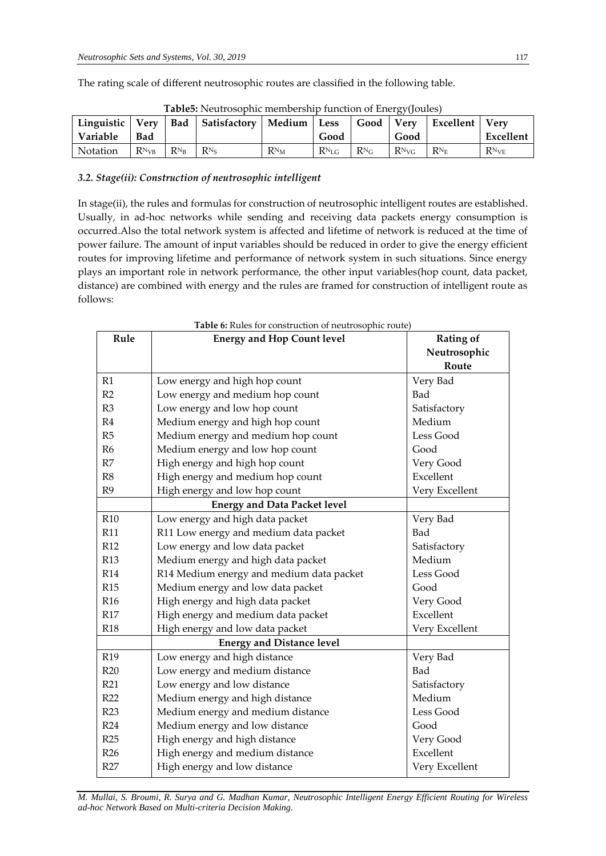The rating scale of different neutrosophic routes are classified in the following table.

|          |                       |  | Linguistic   Very   Bad   Satisfactory   Medium   Less |        |                  |               |            | Good   Very   Excellent   Very |           |
|----------|-----------------------|--|--------------------------------------------------------|--------|------------------|---------------|------------|--------------------------------|-----------|
| Variable | <b>Bad</b>            |  |                                                        |        | Good             |               | Good       |                                | Excellent |
| Notation | $R_{NVB}$   $R_{N_B}$ |  | $R_{\rm N_S}$                                          | $RN_M$ | $R_{\rm ^{NLG}}$ | $R_{\rm N_G}$ | $R^{N}$ vg | $R_{\rm N_E}$                  | $RN_{VE}$ |

|  | Table5: Neutrosophic membership function of Energy(Joules) |
|--|------------------------------------------------------------|
|  |                                                            |

# *3.2. Stage(ii): Construction of neutrosophic intelligent*

In stage(ii), the rules and formulas for construction of neutrosophic intelligent routes are established. Usually, in ad-hoc networks while sending and receiving data packets energy consumption is occurred.Also the total network system is affected and lifetime of network is reduced at the time of power failure. The amount of input variables should be reduced in order to give the energy efficient routes for improving lifetime and performance of network system in such situations. Since energy plays an important role in network performance, the other input variables(hop count, data packet, distance) are combined with energy and the rules are framed for construction of intelligent route as follows:

| Rule            | <b>Table 6:</b> Rules for construction of neutrosophic route) |                  |
|-----------------|---------------------------------------------------------------|------------------|
|                 | <b>Energy and Hop Count level</b>                             | <b>Rating of</b> |
|                 |                                                               | Neutrosophic     |
|                 |                                                               | Route            |
| R1              | Low energy and high hop count                                 | Very Bad         |
| R2              | Low energy and medium hop count                               | Bad              |
| R3              | Low energy and low hop count                                  | Satisfactory     |
| R4              | Medium energy and high hop count                              | Medium           |
| R5              | Medium energy and medium hop count                            | Less Good        |
| R <sub>6</sub>  | Medium energy and low hop count                               | Good             |
| R7              | High energy and high hop count                                | Very Good        |
| R8              | High energy and medium hop count                              | Excellent        |
| R <sub>9</sub>  | High energy and low hop count                                 | Very Excellent   |
|                 | <b>Energy and Data Packet level</b>                           |                  |
| <b>R10</b>      | Low energy and high data packet                               | Very Bad         |
| <b>R11</b>      | R11 Low energy and medium data packet                         | Bad              |
| R <sub>12</sub> | Low energy and low data packet                                | Satisfactory     |
| <b>R13</b>      | Medium energy and high data packet                            | Medium           |
| R14             | R14 Medium energy and medium data packet                      | Less Good        |
| <b>R15</b>      | Medium energy and low data packet                             | Good             |
| R <sub>16</sub> | High energy and high data packet                              | Very Good        |
| R17             | Excellent<br>High energy and medium data packet               |                  |
| <b>R18</b>      | High energy and low data packet                               | Very Excellent   |
|                 | <b>Energy and Distance level</b>                              |                  |
| R19             | Low energy and high distance                                  | Very Bad         |
| R20             | Low energy and medium distance                                | Bad              |
| R21             | Low energy and low distance                                   | Satisfactory     |
| R22             | Medium energy and high distance                               | Medium           |
| R23             | Medium energy and medium distance                             | Less Good        |
| R24             | Medium energy and low distance                                | Good             |
| R25             | High energy and high distance                                 | Very Good        |
| R26             | High energy and medium distance                               | Excellent        |
| R27             | High energy and low distance                                  | Very Excellent   |

**Table 6:** Rules for construction of neutrosophic route)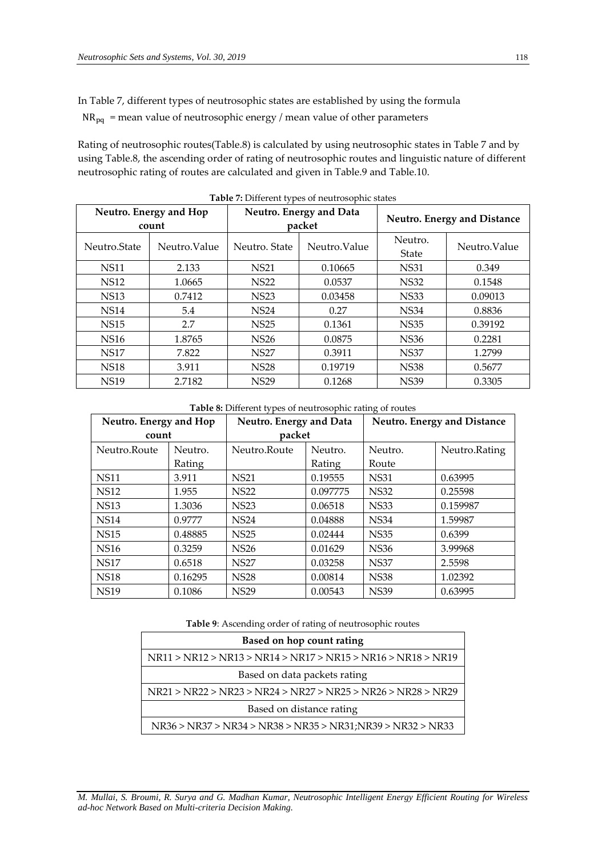In Table 7, different types of neutrosophic states are established by using the formula

 $NR_{pq}$  = mean value of neutrosophic energy / mean value of other parameters

Rating of neutrosophic routes(Table.8) is calculated by using neutrosophic states in Table 7 and by using Table.8, the ascending order of rating of neutrosophic routes and linguistic nature of different neutrosophic rating of routes are calculated and given in Table.9 and Table.10.

| Neutro. Energy and Hop<br>count |              |               | Neutro. Energy and Data<br>packet | <b>Neutro. Energy and Distance</b> |               |
|---------------------------------|--------------|---------------|-----------------------------------|------------------------------------|---------------|
| Neutro.State                    | Neutro Value | Neutro, State | Neutro. Value                     | Neutro.<br>State                   | Neutro. Value |
| <b>NS11</b>                     | 2.133        | <b>NS21</b>   | 0.10665                           | <b>NS31</b>                        | 0.349         |
| <b>NS12</b>                     | 1.0665       | <b>NS22</b>   | 0.0537                            | <b>NS32</b>                        | 0.1548        |
| <b>NS13</b>                     | 0.7412       | <b>NS23</b>   | 0.03458                           | <b>NS33</b>                        | 0.09013       |
| <b>NS14</b>                     | 5.4          | <b>NS24</b>   | 0.27                              | <b>NS34</b>                        | 0.8836        |
| <b>NS15</b>                     | 2.7          | <b>NS25</b>   | 0.1361                            | <b>NS35</b>                        | 0.39192       |
| <b>NS16</b>                     | 1.8765       | <b>NS26</b>   | 0.0875                            | <b>NS36</b>                        | 0.2281        |
| <b>NS17</b>                     | 7.822        | <b>NS27</b>   | 0.3911                            | <b>NS37</b>                        | 1.2799        |
| <b>NS18</b>                     | 3.911        | <b>NS28</b>   | 0.19719                           | <b>NS38</b>                        | 0.5677        |
| <b>NS19</b>                     | 2.7182       | <b>NS29</b>   | 0.1268                            | <b>NS39</b>                        | 0.3305        |

**Table 7:** Different types of neutrosophic states

**Table 8:** Different types of neutrosophic rating of routes

| Neutro. Energy and Hop |         | Neutro. Energy and Data |          |             | <b>Neutro. Energy and Distance</b> |
|------------------------|---------|-------------------------|----------|-------------|------------------------------------|
| count                  |         | packet                  |          |             |                                    |
| Neutro.Route           | Neutro. | Neutro.Route            | Neutro.  | Neutro.     | Neutro.Rating                      |
|                        | Rating  |                         | Rating   | Route       |                                    |
| <b>NS11</b>            | 3.911   | <b>NS21</b>             | 0.19555  | <b>NS31</b> | 0.63995                            |
| <b>NS12</b>            | 1.955   | <b>NS22</b>             | 0.097775 | <b>NS32</b> | 0.25598                            |
| <b>NS13</b>            | 1.3036  | <b>NS23</b>             | 0.06518  | <b>NS33</b> | 0.159987                           |
| <b>NS14</b>            | 0.9777  | <b>NS24</b>             | 0.04888  | <b>NS34</b> | 1.59987                            |
| <b>NS15</b>            | 0.48885 | <b>NS25</b>             | 0.02444  | <b>NS35</b> | 0.6399                             |
| <b>NS16</b>            | 0.3259  | <b>NS26</b>             | 0.01629  | <b>NS36</b> | 3.99968                            |
| <b>NS17</b>            | 0.6518  | <b>NS27</b>             | 0.03258  | <b>NS37</b> | 2.5598                             |
| <b>NS18</b>            | 0.16295 | <b>NS28</b>             | 0.00814  | <b>NS38</b> | 1.02392                            |
| <b>NS19</b>            | 0.1086  | <b>NS29</b>             | 0.00543  | <b>NS39</b> | 0.63995                            |

**Table 9**: Ascending order of rating of neutrosophic routes

| Based on hop count rating                                    |
|--------------------------------------------------------------|
| NR11 > NR12 > NR13 > NR14 > NR17 > NR15 > NR16 > NR18 > NR19 |
| Based on data packets rating                                 |
| NR21 > NR22 > NR23 > NR24 > NR27 > NR25 > NR26 > NR28 > NR29 |
| Based on distance rating                                     |
| NR36 > NR37 > NR34 > NR38 > NR35 > NR31;NR39 > NR32 > NR33   |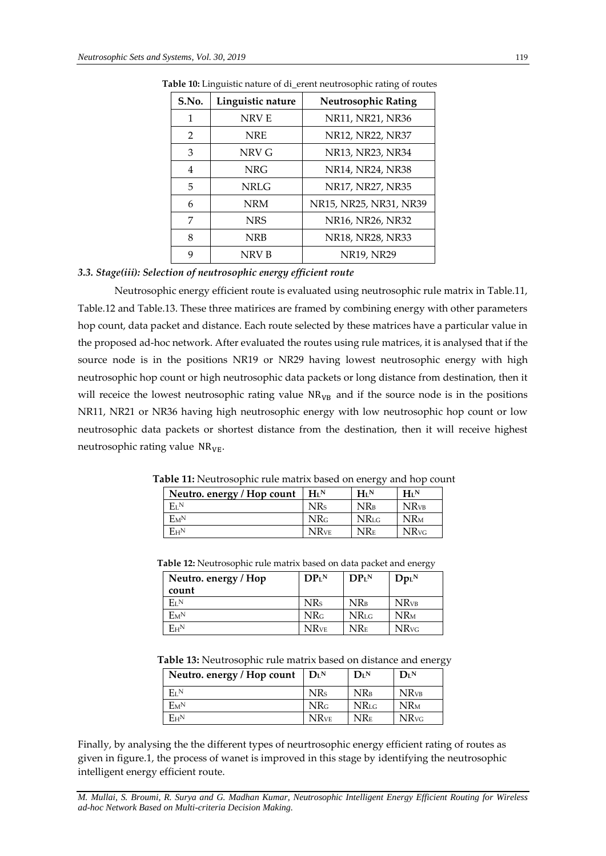| S.No.         | Linguistic nature | <b>Neutrosophic Rating</b> |  |  |
|---------------|-------------------|----------------------------|--|--|
| 1             | NRV E             | NR11, NR21, NR36           |  |  |
| $\mathcal{P}$ | <b>NRE</b>        | NR12, NR22, NR37           |  |  |
| 3             | NRV G             | NR13, NR23, NR34           |  |  |
| 4             | NRG               | NR14, NR24, NR38           |  |  |
| 5             | <b>NRLG</b>       | NR17, NR27, NR35           |  |  |
| 6             | <b>NRM</b>        | NR15, NR25, NR31, NR39     |  |  |
| 7             | <b>NRS</b>        | NR16, NR26, NR32           |  |  |
| 8             | NRB               | NR18, NR28, NR33           |  |  |
| 9             | NRV B             | NR19, NR29                 |  |  |

 **Table 10:** Linguistic nature of di\_erent neutrosophic rating of routes

# *3.3. Stage(iii): Selection of neutrosophic energy efficient route*

Neutrosophic energy efficient route is evaluated using neutrosophic rule matrix in Table.11, Table.12 and Table.13. These three matirices are framed by combining energy with other parameters hop count, data packet and distance. Each route selected by these matrices have a particular value in the proposed ad-hoc network. After evaluated the routes using rule matrices, it is analysed that if the source node is in the positions NR19 or NR29 having lowest neutrosophic energy with high neutrosophic hop count or high neutrosophic data packets or long distance from destination, then it will receice the lowest neutrosophic rating value  $NR<sub>VB</sub>$  and if the source node is in the positions NR11, NR21 or NR36 having high neutrosophic energy with low neutrosophic hop count or low neutrosophic data packets or shortest distance from the destination, then it will receive highest neutrosophic rating value  $NR_{VE}$ .

| Neutro. energy / Hop count | $H_I N$                 | $H_{L}N$    | $H_I N$                 |
|----------------------------|-------------------------|-------------|-------------------------|
| $E_L$ <sub>N</sub>         | <b>NRs</b>              | $NR_B$      | <b>NR</b> <sub>VB</sub> |
| $E_{\rm M}N$               | NR <sub>G</sub>         | <b>NRLG</b> | <b>NR</b> <sub>M</sub>  |
| $E_{H}N$                   | <b>NR</b> <sub>VE</sub> | $NR_E$      | <b>NR</b> <sub>vG</sub> |

 **Table 11:** Neutrosophic rule matrix based on energy and hop count

|  | <b>Table 12:</b> Neutrosophic rule matrix based on data packet and energy |                  |  |
|--|---------------------------------------------------------------------------|------------------|--|
|  |                                                                           | ___  _ __  _ _ _ |  |

| Neutro. energy / Hop | DP <sub>L</sub> N       | DP <sub>L</sub> N | $DpL$ <sub>N</sub>      |
|----------------------|-------------------------|-------------------|-------------------------|
| count                |                         |                   |                         |
| $E_I N$              | <b>NRs</b>              | $NR_B$            | <b>NR</b> <sub>VB</sub> |
| $E_{M}N$             | <b>NR</b> G             | <b>NRLG</b>       | <b>NR</b> <sub>M</sub>  |
| $E_{H}N$             | <b>NR</b> <sub>VE</sub> | <b>NRE</b>        | <b>NR</b> <sub>vG</sub> |

 **Table 13:** Neutrosophic rule matrix based on distance and energy

| Neutro. energy / Hop count | $\mathbf{D}_{\mathbf{I}}$ <sub>N</sub> | $\mathbf{D}_{\mathrm{L}}$ <sup>N</sup> | $\mathbf{D}^{\mathrm{IN}}$ |
|----------------------------|----------------------------------------|----------------------------------------|----------------------------|
| $E_I N$                    | <b>NRs</b>                             | <b>NR</b> <sub>B</sub>                 | <b>NR</b> <sub>VB</sub>    |
| $E_{M}N$                   | NR <sub>G</sub>                        | <b>NR</b> LG                           | $NR_M$                     |
| $E_{H}N$                   | <b>NR</b> <sub>VE</sub>                | <b>NRE</b>                             | <b>NR</b> <sub>vG</sub>    |

Finally, by analysing the the different types of neurtrosophic energy efficient rating of routes as given in figure.1, the process of wanet is improved in this stage by identifying the neutrosophic intelligent energy efficient route.

*M. Mullai, S. Broumi, R. Surya and G. Madhan Kumar, Neutrosophic Intelligent Energy Efficient Routing for Wireless ad-hoc Network Based on Multi-criteria Decision Making.*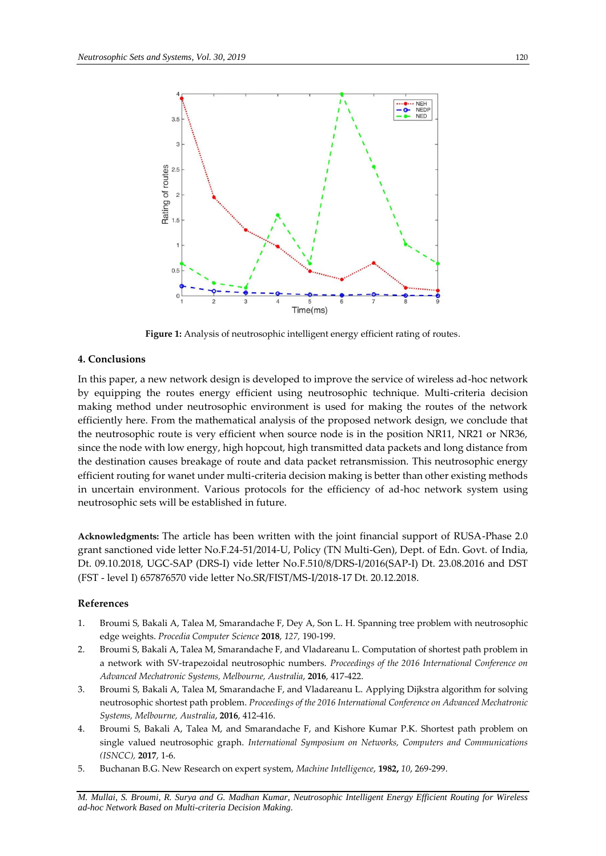

**Figure 1:** Analysis of neutrosophic intelligent energy efficient rating of routes.

# **4. Conclusions**

In this paper, a new network design is developed to improve the service of wireless ad-hoc network by equipping the routes energy efficient using neutrosophic technique. Multi-criteria decision making method under neutrosophic environment is used for making the routes of the network efficiently here. From the mathematical analysis of the proposed network design, we conclude that the neutrosophic route is very efficient when source node is in the position NR11, NR21 or NR36, since the node with low energy, high hopcout, high transmitted data packets and long distance from the destination causes breakage of route and data packet retransmission. This neutrosophic energy efficient routing for wanet under multi-criteria decision making is better than other existing methods in uncertain environment. Various protocols for the efficiency of ad-hoc network system using neutrosophic sets will be established in future.

**Acknowledgments:** The article has been written with the joint financial support of RUSA-Phase 2.0 grant sanctioned vide letter No.F.24-51/2014-U, Policy (TN Multi-Gen), Dept. of Edn. Govt. of India, Dt. 09.10.2018, UGC-SAP (DRS-I) vide letter No.F.510/8/DRS-I/2016(SAP-I) Dt. 23.08.2016 and DST (FST - level I) 657876570 vide letter No.SR/FIST/MS-I/2018-17 Dt. 20.12.2018.

# **References**

- 1. Broumi S, Bakali A, Talea M, Smarandache F, Dey A, Son L. H. Spanning tree problem with neutrosophic edge weights. *Procedia Computer Science* **2018**, *127,* 190-199.
- 2. Broumi S, Bakali A, Talea M, Smarandache F, and Vladareanu L. Computation of shortest path problem in a network with SV-trapezoidal neutrosophic numbers. *Proceedings of the 2016 International Conference on Advanced Mechatronic Systems, Melbourne, Australia*, **2016**, 417-422.
- 3. Broumi S, Bakali A, Talea M, Smarandache F, and Vladareanu L. Applying Dijkstra algorithm for solving neutrosophic shortest path problem. *Proceedings of the 2016 International Conference on Advanced Mechatronic Systems, Melbourne, Australia*, **2016**, 412-416.
- 4. Broumi S, Bakali A, Talea M, and Smarandache F, and Kishore Kumar P.K. Shortest path problem on single valued neutrosophic graph. *International Symposium on Networks, Computers and Communications (ISNCC),* **2017**, 1-6.
- 5. Buchanan B.G. New Research on expert system, *Machine Intelligence*, **1982,** *10*, 269-299.